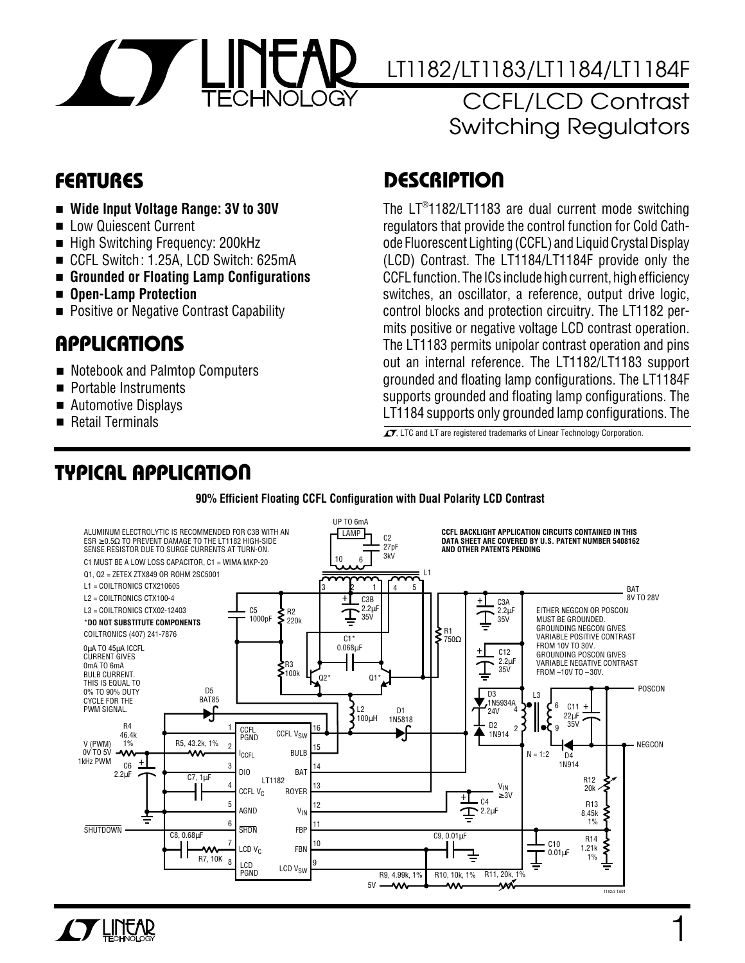

LT1182/LT1183/LT1184/LT1184F

## CCFL/LCD Contrast Switching Regulators

- **Wide Input Voltage Range: 3V to 30V**
- Low Quiescent Current
- High Switching Frequency: 200kHz
- CCFL Switch: 1.25A, LCD Switch: 625mA
- **Grounded or Floating Lamp Configurations**
- **Open-Lamp Protection**
- Positive or Negative Contrast Capability

#### **APPLICATIONS**  $\overline{\phantom{0}}$

■ Notebook and Palmtop Computers

**TYPICAL APPLICATION U**

- Portable Instruments
- Automotive Displays
- Retail Terminals

**TY LINEAR** 

# **FEATURES DESCRIPTION U**

The  $LT^{\circ}$ 1182/LT1183 are dual current mode switching regulators that provide the control function for Cold Cathode Fluorescent Lighting (CCFL) and Liquid Crystal Display (LCD) Contrast. The LT1184/LT1184F provide only the CCFL function. The ICs include high current, high efficiency switches, an oscillator, a reference, output drive logic, control blocks and protection circuitry. The LT1182 permits positive or negative voltage LCD contrast operation. The LT1183 permits unipolar contrast operation and pins out an internal reference. The LT1182/LT1183 support grounded and floating lamp configurations. The LT1184F supports grounded and floating lamp configurations. The LT1184 supports only grounded lamp configurations. The

1

 $\overline{\mathcal{A}}$ , LTC and LT are registered trademarks of Linear Technology Corporation.



**90% Efficient Floating CCFL Configuration with Dual Polarity LCD Contrast**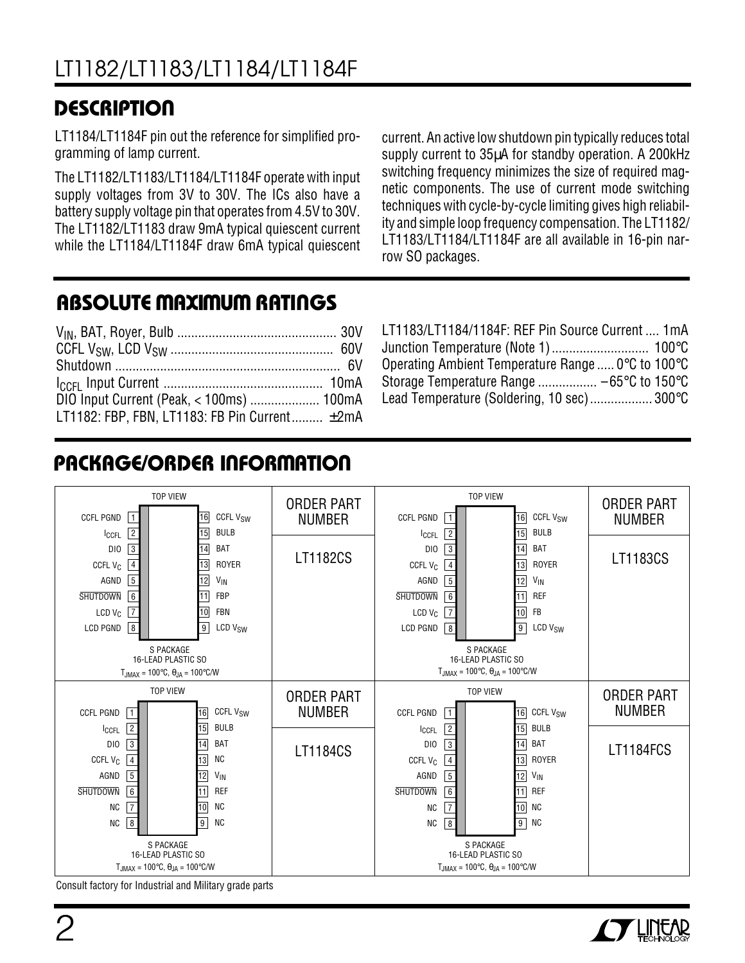## **DESCRIPTION U**

LT1184/LT1184F pin out the reference for simplified programming of lamp current.

The LT1182/LT1183/LT1184/LT1184F operate with input supply voltages from 3V to 30V. The ICs also have a battery supply voltage pin that operates from 4.5V to 30V. The LT1182/LT1183 draw 9mA typical quiescent current while the LT1184/LT1184F draw 6mA typical quiescent current. An active low shutdown pin typically reduces total supply current to 35µA for standby operation. A 200kHz switching frequency minimizes the size of required magnetic components. The use of current mode switching techniques with cycle-by-cycle limiting gives high reliability and simple loop frequency compensation. The LT1182/ LT1183/LT1184/LT1184F are all available in 16-pin narrow SO packages.

## **ABSOLUTE MAXIMUM RATINGS W W W U**

| DIO Input Current (Peak, < 100ms)  100mA      |  |
|-----------------------------------------------|--|
| LT1182: FBP, FBN, LT1183: FB Pin Current ±2mA |  |

LT1183/LT1184/1184F: REF Pin Source Current .... 1mA Junction Temperature (Note 1)............................ 100°C Operating Ambient Temperature Range ..... 0°C to 100°C Storage Temperature Range ................. –65°C to 150°C Lead Temperature (Soldering, 10 sec).................. 300°C

## **PACKAGE/ORDER INFORMATION**



Consult factory for Industrial and Military grade parts

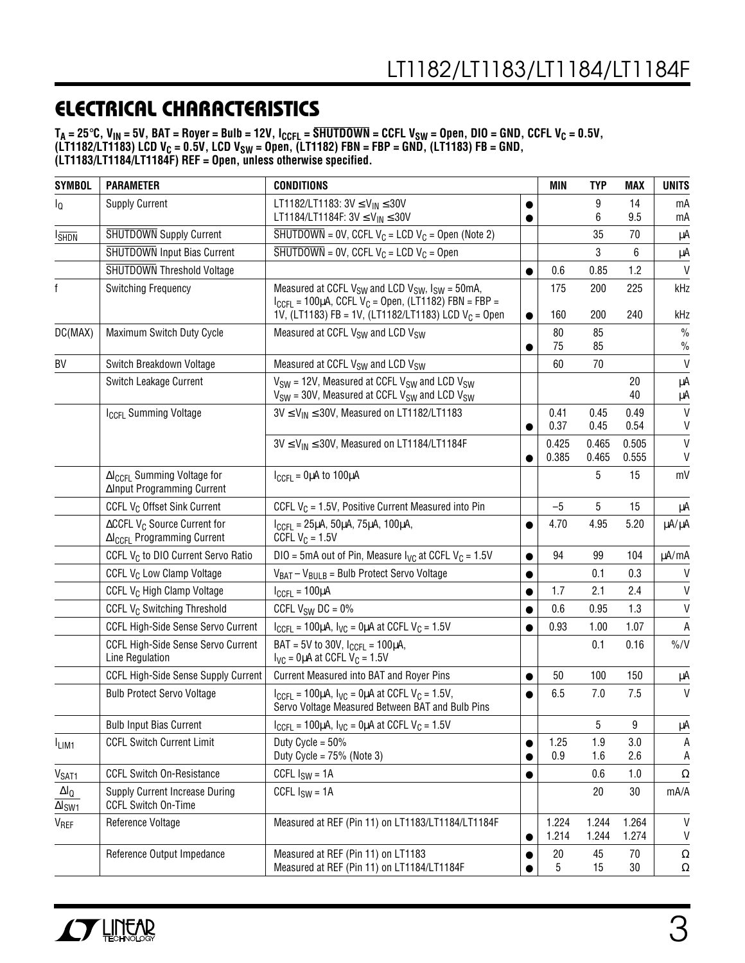## **ELECTRICAL CHARACTERISTICS**

T<sub>A</sub> = 25°C, V<sub>IN</sub> = 5V, BAT = Royer = Bulb = 12V, I<sub>CCFL</sub> = SHUTDOWN = CCFL V<sub>SW</sub> = Open, DIO = GND, CCFL V<sub>C</sub> = 0.5V, (LT1182/LT1183) LCD V<sub>C</sub> = 0.5V, LCD V<sub>SW</sub> = Open, (LT1182) FBN = FBP = GND, (LT1183) FB = GND, **(LT1183/LT1184/LT1184F) REF = Open, unless otherwise specified.**

| <b>SYMBOL</b>                                      | <b>PARAMETER</b>                                                             | <b>CONDITIONS</b>                                                                                                                                                                                |           | <b>MIN</b>     | <b>TYP</b>      | <b>MAX</b>     | <b>UNITS</b>          |
|----------------------------------------------------|------------------------------------------------------------------------------|--------------------------------------------------------------------------------------------------------------------------------------------------------------------------------------------------|-----------|----------------|-----------------|----------------|-----------------------|
| l <sub>Q</sub>                                     | <b>Supply Current</b>                                                        | LT1182/LT1183: $3V \le V_{IN} \le 30V$<br>LT1184/LT1184F: $3V \le V_{IN} \le 30V$                                                                                                                |           |                | 9<br>6          | 14<br>9.5      | mA<br>mA              |
| <b>SHDN</b>                                        | <b>SHUTDOWN</b> Supply Current                                               | $\overline{\text{SHUTDOWN}}$ = 0V, CCFL V <sub>C</sub> = LCD V <sub>C</sub> = Open (Note 2)                                                                                                      |           |                | 35              | 70             | μA                    |
|                                                    | SHUTDOWN Input Bias Current                                                  | $\overline{\text{SHUTDOWN}}$ = 0V, CCFL V <sub>C</sub> = LCD V <sub>C</sub> = Open                                                                                                               |           |                | 3               | 6              | μA                    |
|                                                    | SHUTDOWN Threshold Voltage                                                   |                                                                                                                                                                                                  | $\bullet$ | 0.6            | 0.85            | 1.2            | $\mathsf{V}$          |
| f                                                  | Switching Frequency                                                          | Measured at CCFL $V_{SW}$ and LCD $V_{SW}$ , $I_{SW} = 50$ mA,<br>$I_{CCEL}$ = 100µA, CCFL V <sub>C</sub> = Open, (LT1182) FBN = FBP =<br>1V, (LT1183) FB = 1V, (LT1182/LT1183) LCD $V_C$ = Open |           | 175<br>160     | 200<br>200      | 225<br>240     | kHz<br>kHz            |
| DC(MAX)                                            | Maximum Switch Duty Cycle                                                    | Measured at CCFL V <sub>SW</sub> and LCD V <sub>SW</sub>                                                                                                                                         | e         | 80<br>75       | 85<br>85        |                | $\frac{0}{0}$<br>$\%$ |
| BV                                                 | Switch Breakdown Voltage                                                     | Measured at CCFL V <sub>SW</sub> and LCD V <sub>SW</sub>                                                                                                                                         |           | 60             | 70              |                | $\mathsf{V}$          |
|                                                    | Switch Leakage Current                                                       | $V_{SW}$ = 12V, Measured at CCFL $V_{SW}$ and LCD $V_{SW}$<br>$V_{SW}$ = 30V, Measured at CCFL $V_{SW}$ and LCD $V_{SW}$                                                                         |           |                |                 | 20<br>40       | μA<br>μA              |
|                                                    | I <sub>CCFL</sub> Summing Voltage                                            | $3V \le V_{IN} \le 30V$ , Measured on LT1182/LT1183                                                                                                                                              |           | 0.41<br>0.37   | 0.45<br>0.45    | 0.49<br>0.54   | $\mathsf{V}$<br>V     |
|                                                    |                                                                              | $3V \le V_{IN} \le 30V$ , Measured on LT1184/LT1184F                                                                                                                                             |           | 0.425<br>0.385 | 0.465<br>0.465  | 0.505<br>0.555 | $\mathsf{V}$<br>V     |
|                                                    | Al <sub>CCFL</sub> Summing Voltage for<br>∆Input Programming Current         | $I_{CCEL} = 0 \mu A$ to 100 $\mu A$                                                                                                                                                              |           |                | $5\phantom{.0}$ | 15             | mV                    |
|                                                    | CCFL V <sub>C</sub> Offset Sink Current                                      | CCFL $V_C$ = 1.5V, Positive Current Measured into Pin                                                                                                                                            |           | $-5$           | 5               | 15             | μA                    |
|                                                    | ∆CCFL V <sub>C</sub> Source Current for<br><b>AlccFL Programming Current</b> | $I_{CCEL} = 25\mu A$ , 50 $\mu A$ , 75 $\mu A$ , 100 $\mu A$ ,<br>CCFL $V_C = 1.5V$                                                                                                              |           | 4.70           | 4.95            | 5.20           | µA/µA                 |
|                                                    | CCFL V <sub>C</sub> to DIO Current Servo Ratio                               | DIO = 5mA out of Pin, Measure $I_{\text{VC}}$ at CCFL V <sub>C</sub> = 1.5V                                                                                                                      |           | 94             | 99              | 104            | µA/mA                 |
|                                                    | CCFL V <sub>C</sub> Low Clamp Voltage                                        | $V_{BAT} - V_{BULB} =$ Bulb Protect Servo Voltage                                                                                                                                                |           |                | 0.1             | 0.3            | V                     |
|                                                    | CCFL V <sub>C</sub> High Clamp Voltage                                       | $I_{CCFL} = 100 \mu A$                                                                                                                                                                           |           | 1.7            | 2.1             | 2.4            | $\mathsf{V}$          |
|                                                    | CCFL V <sub>C</sub> Switching Threshold                                      | CCFL $V_{SW}$ DC = 0%                                                                                                                                                                            |           | 0.6            | 0.95            | 1.3            | $\mathsf{V}$          |
|                                                    | CCFL High-Side Sense Servo Current                                           | $I_{CCEL}$ = 100µA, $I_{VC}$ = 0µA at CCFL V <sub>C</sub> = 1.5V                                                                                                                                 |           | 0.93           | 1.00            | 1.07           | A                     |
|                                                    | CCFL High-Side Sense Servo Current<br>Line Regulation                        | $BAT = 5V$ to 30V, $I_{CCEL} = 100 \mu A$ ,<br>$I_{\text{VC}}$ = 0µA at CCFL V <sub>C</sub> = 1.5V                                                                                               |           |                | 0.1             | 0.16           | $\%/V$                |
|                                                    | CCFL High-Side Sense Supply Current                                          | Current Measured into BAT and Royer Pins                                                                                                                                                         |           | 50             | 100             | 150            | μA                    |
|                                                    | <b>Bulb Protect Servo Voltage</b>                                            | $I_{CCEI}$ = 100µA, $I_{VC}$ = 0µA at CCFL V <sub>C</sub> = 1.5V,<br>Servo Voltage Measured Between BAT and Bulb Pins                                                                            |           | 6.5            | 7.0             | 7.5            | V                     |
|                                                    | <b>Bulb Input Bias Current</b>                                               | $I_{CCEL}$ = 100µA, $I_{VC}$ = 0µA at CCFL V <sub>C</sub> = 1.5V                                                                                                                                 |           |                | 5               | 9              | μA                    |
| LIM1                                               | <b>CCFL Switch Current Limit</b>                                             | Duty Cycle = $50\%$<br>Duty Cycle = $75%$ (Note 3)                                                                                                                                               |           | 1.25<br>0.9    | 1.9<br>1.6      | 3.0<br>2.6     | A<br>A                |
| V <sub>SAT1</sub>                                  | <b>CCFL Switch On-Resistance</b>                                             | CCFL $I_{SW} = 1A$                                                                                                                                                                               |           |                | 0.6             | 1.0            | $\Omega$              |
| $\Delta I_{\mathsf{Q}}$<br>$\Delta$ <sub>SW1</sub> | Supply Current Increase During<br>CCFL Switch On-Time                        | CCFL $I_{SW} = 1A$                                                                                                                                                                               |           |                | 20              | 30             | mA/A                  |
| V <sub>REF</sub>                                   | Reference Voltage                                                            | Measured at REF (Pin 11) on LT1183/LT1184/LT1184F                                                                                                                                                |           | 1.224<br>1.214 | 1.244<br>1.244  | 1.264<br>1.274 | $\vee$<br>V           |
|                                                    | Reference Output Impedance                                                   | Measured at REF (Pin 11) on LT1183<br>Measured at REF (Pin 11) on LT1184/LT1184F                                                                                                                 |           | 20<br>5        | 45<br>15        | 70<br>$30\,$   | $\Omega$<br>$\Omega$  |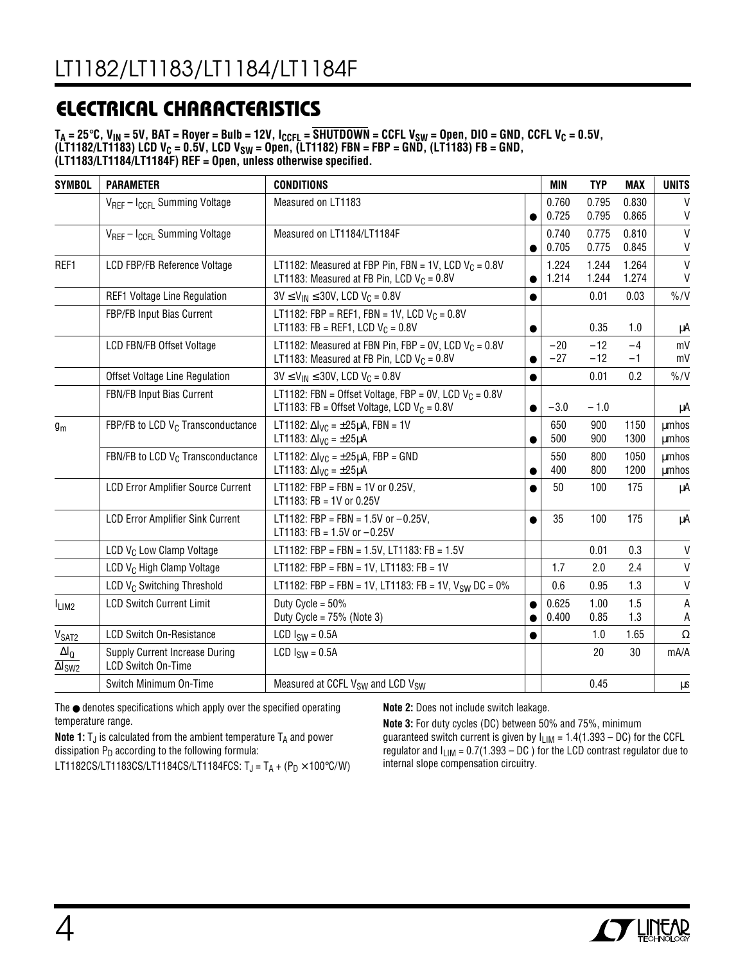## **ELECTRICAL CHARACTERISTICS**

**TA = 25**°**C, VIN = 5V, BAT = Royer = Bulb = 12V, ICCFL = SHUTDOWN = CCFL VSW = Open, DIO = GND, CCFL VC = 0.5V,** (LT1182/LT1183) LCD V<sub>C</sub> = 0.5V, LCD V<sub>SW</sub> = Open, (LT1182) FBN = FBP = GND, (LT1183) FB = GND, **(LT1183/LT1184/LT1184F) REF = Open, unless otherwise specified.**

| <b>SYMBOL</b>                               | <b>PARAMETER</b>                                            | <b>CONDITIONS</b>                                                                                         |           | MIN            | <b>TYP</b>     | <b>MAX</b>     | <b>UNITS</b>          |
|---------------------------------------------|-------------------------------------------------------------|-----------------------------------------------------------------------------------------------------------|-----------|----------------|----------------|----------------|-----------------------|
|                                             | V <sub>REF</sub> - I <sub>CCFL</sub> Summing Voltage        | Measured on LT1183                                                                                        | $\bullet$ | 0.760<br>0.725 | 0.795<br>0.795 | 0.830<br>0.865 | V<br>V                |
|                                             | $V_{BFF} - I_{CCFI}$ Summing Voltage                        | Measured on LT1184/LT1184F                                                                                |           | 0.740<br>0.705 | 0.775<br>0.775 | 0.810<br>0.845 | $\mathsf{V}$<br>V     |
| REF1                                        | LCD FBP/FB Reference Voltage                                | LT1182: Measured at FBP Pin, FBN = 1V, LCD $V_C = 0.8V$<br>LT1183: Measured at FB Pin, LCD $V_c = 0.8V$   | $\bullet$ | 1.224<br>1.214 | 1.244<br>1.244 | 1.264<br>1.274 | V<br>V                |
|                                             | REF1 Voltage Line Regulation                                | $3V \le V_{IN} \le 30V$ , LCD $V_C = 0.8V$                                                                | $\bullet$ |                | 0.01           | 0.03           | $\frac{9}{0}$ /V      |
|                                             | FBP/FB Input Bias Current                                   | LT1182: FBP = REF1, FBN = 1V, LCD $V_c$ = 0.8V<br>LT1183: FB = REF1, LCD $V_C = 0.8V$                     | $\bullet$ |                | 0.35           | 1.0            | μA                    |
|                                             | LCD FBN/FB Offset Voltage                                   | LT1182: Measured at FBN Pin, FBP = 0V, LCD $V_c$ = 0.8V<br>LT1183: Measured at FB Pin, LCD $V_c = 0.8V$   |           | $-20$<br>$-27$ | $-12$<br>$-12$ | $-4$<br>$-1$   | mV<br>mV              |
|                                             | Offset Voltage Line Regulation                              | $3V \le V_{IN} \le 30V$ , LCD $V_C = 0.8V$                                                                | $\bullet$ |                | 0.01           | 0.2            | $\frac{9}{0}$ /V      |
|                                             | FBN/FB Input Bias Current                                   | LT1182: FBN = Offset Voltage, FBP = 0V, LCD $V_c$ = 0.8V<br>LT1183: FB = Offset Voltage, LCD $V_c$ = 0.8V |           | $-3.0$         | $-1.0$         |                | μA                    |
| $g_m$                                       | FBP/FB to LCD V <sub>C</sub> Transconductance               | LT1182: $\Delta I_{VC} = \pm 25 \mu A$ , FBN = 1V<br>LT1183: $\Delta I_{VC} = \pm 25 \mu A$               | $\bullet$ | 650<br>500     | 900<br>900     | 1150<br>1300   | <b>umhos</b><br>umhos |
|                                             | FBN/FB to LCD V <sub>C</sub> Transconductance               | LT1182: $\Delta I_{VC} = \pm 25 \mu A$ , FBP = GND<br>LT1183: $\Delta I_{\text{VC}} = \pm 25 \mu A$       |           | 550<br>400     | 800<br>800     | 1050<br>1200   | umhos<br><b>umhos</b> |
|                                             | <b>LCD Error Amplifier Source Current</b>                   | LT1182: FBP = FBN = 1V or 0.25V,<br>LT1183: FB = 1V or 0.25V                                              |           | 50             | 100            | 175            | μA                    |
|                                             | <b>LCD Error Amplifier Sink Current</b>                     | LT1182: FBP = FBN = 1.5V or $-0.25V$ ,<br>LT1183: FB = $1.5V$ or $-0.25V$                                 | $\bullet$ | 35             | 100            | 175            | μA                    |
|                                             | LCD V <sub>C</sub> Low Clamp Voltage                        | LT1182: FBP = FBN = 1.5V, LT1183: FB = 1.5V                                                               |           |                | 0.01           | 0.3            | $\mathsf{V}$          |
|                                             | LCD V <sub>C</sub> High Clamp Voltage                       | LT1182: FBP = FBN = 1V, LT1183: FB = 1V                                                                   |           | 1.7            | 2.0            | 2.4            | $\mathsf{V}$          |
|                                             | LCD V <sub>C</sub> Switching Threshold                      | LT1182: FBP = FBN = 1V, LT1183: FB = 1V, $V_{SW}$ DC = 0%                                                 |           | 0.6            | 0.95           | 1.3            | $\mathsf{V}$          |
| $I_{LIM2}$                                  | <b>LCD Switch Current Limit</b>                             | Duty Cycle = $50\%$<br>Duty Cycle = $75%$ (Note 3)                                                        |           | 0.625<br>0.400 | 1.00<br>0.85   | 1.5<br>1.3     | A<br>А                |
| V <sub>SAT2</sub>                           | <b>LCD Switch On-Resistance</b>                             | LCD $I_{SW} = 0.5A$                                                                                       |           |                | 1.0            | 1.65           | $\Omega$              |
| $\Delta I_Q$<br>$\overline{\Delta I_{SW2}}$ | Supply Current Increase During<br><b>LCD Switch On-Time</b> | LCD $I_{SW} = 0.5A$                                                                                       |           |                | 20             | 30             | mA/A                  |
|                                             | Switch Minimum On-Time                                      | Measured at CCFL V <sub>SW</sub> and LCD V <sub>SW</sub>                                                  |           |                | 0.45           |                | μs                    |

The ● denotes specifications which apply over the specified operating temperature range.

**Note 1:**  $T_J$  is calculated from the ambient temperature  $T_A$  and power dissipation  $P_D$  according to the following formula:

LT1182CS/LT1183CS/LT1184CS/LT1184FCS:  $T_J = T_A + (P_D \times 100\textdegree C/W)$ 

**Note 2:** Does not include switch leakage.

**Note 3:** For duty cycles (DC) between 50% and 75%, minimum guaranteed switch current is given by  $I_{LIM} = 1.4(1.393 - DC)$  for the CCFL regulator and  $I_{LIM}$  = 0.7(1.393 – DC) for the LCD contrast regulator due to internal slope compensation circuitry.

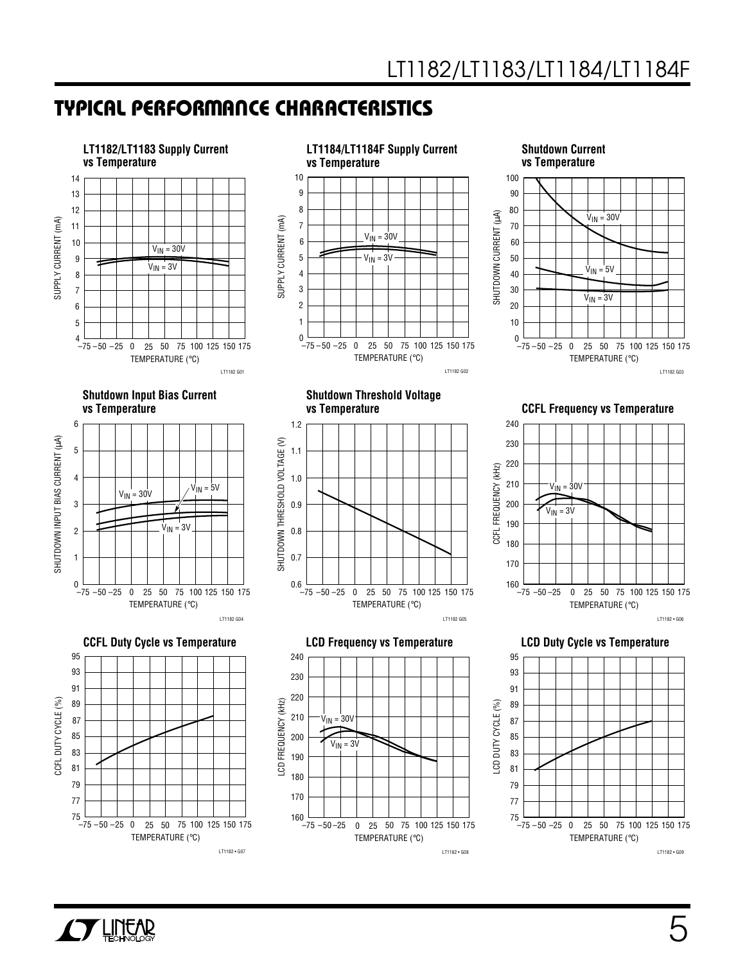

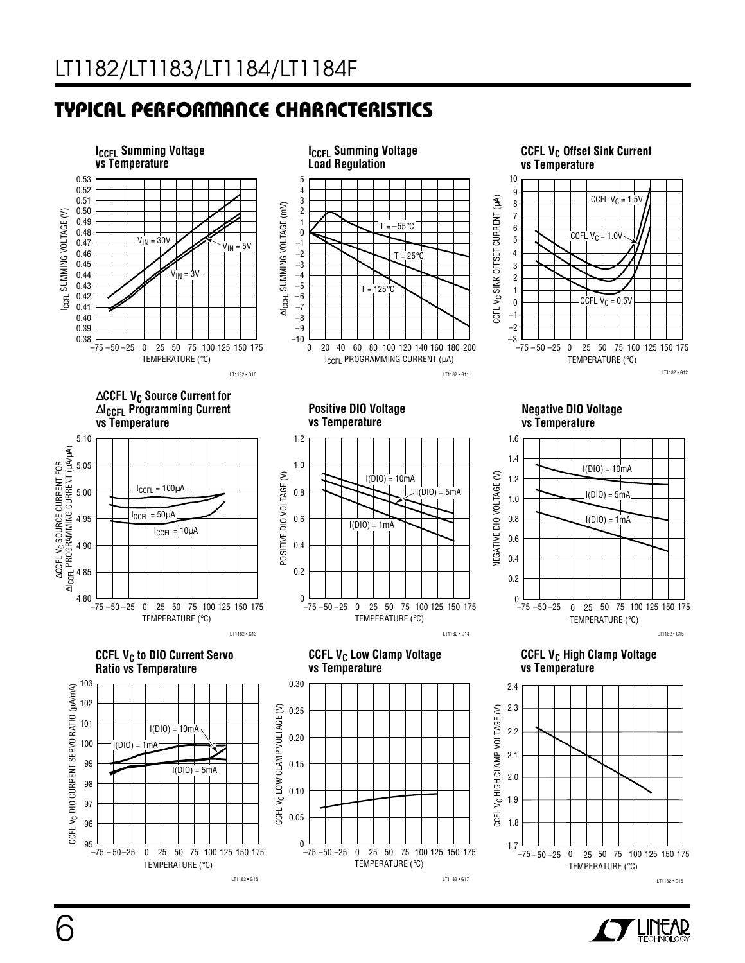

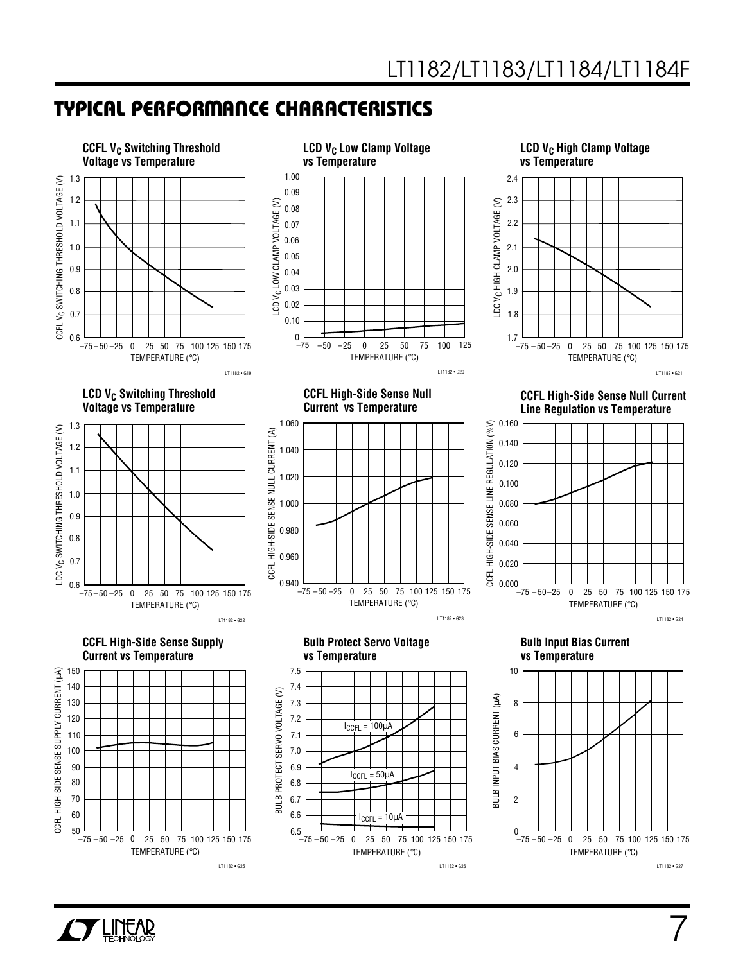

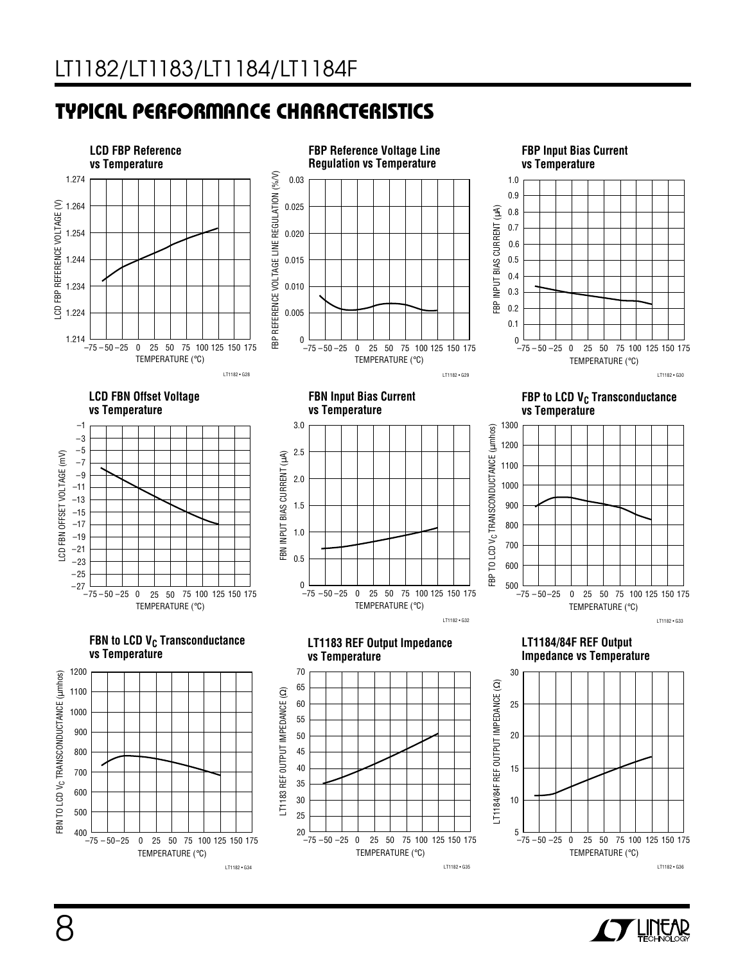

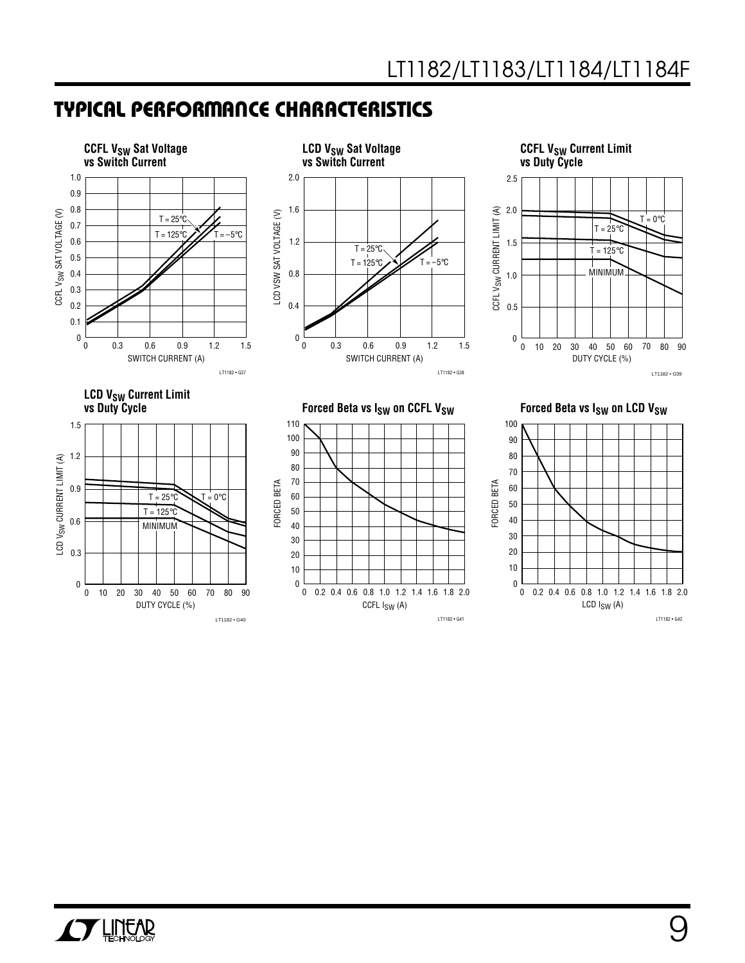

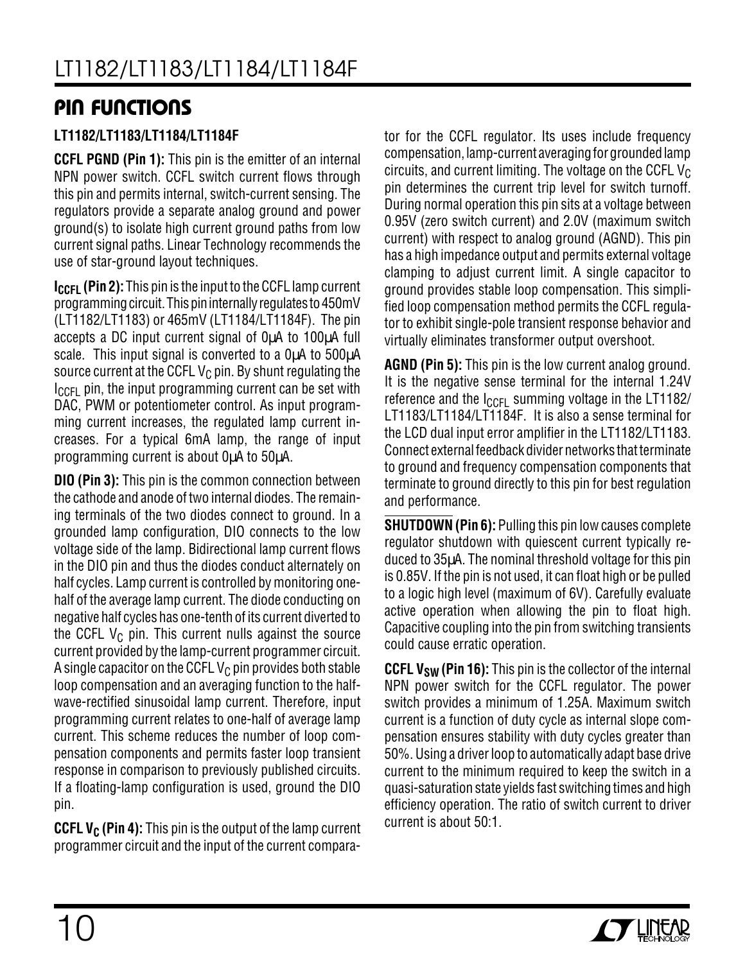## **PIN FUNCTIONS U UU**

#### **LT1182/LT1183/LT1184/LT1184F**

**CCFL PGND (Pin 1):** This pin is the emitter of an internal NPN power switch. CCFL switch current flows through this pin and permits internal, switch-current sensing. The regulators provide a separate analog ground and power ground(s) to isolate high current ground paths from low current signal paths. Linear Technology recommends the use of star-ground layout techniques.

**I<sub>CCFL</sub>** (Pin 2): This pin is the input to the CCFL lamp current programming circuit. This pin internally regulates to 450mV (LT1182/LT1183) or 465mV (LT1184/LT1184F). The pin accepts a DC input current signal of 0µA to 100µA full scale. This input signal is converted to a 0µA to 500µA source current at the CCFL  $V_C$  pin. By shunt regulating the  $I_{CCFL}$  pin, the input programming current can be set with DAC, PWM or potentiometer control. As input programming current increases, the regulated lamp current increases. For a typical 6mA lamp, the range of input programming current is about 0µA to 50µA.

**DIO (Pin 3):** This pin is the common connection between the cathode and anode of two internal diodes. The remaining terminals of the two diodes connect to ground. In a grounded lamp configuration, DIO connects to the low voltage side of the lamp. Bidirectional lamp current flows in the DIO pin and thus the diodes conduct alternately on half cycles. Lamp current is controlled by monitoring onehalf of the average lamp current. The diode conducting on negative half cycles has one-tenth of its current diverted to the CCFL  $V_C$  pin. This current nulls against the source current provided by the lamp-current programmer circuit. A single capacitor on the CCFL  $V_C$  pin provides both stable loop compensation and an averaging function to the halfwave-rectified sinusoidal lamp current. Therefore, input programming current relates to one-half of average lamp current. This scheme reduces the number of loop compensation components and permits faster loop transient response in comparison to previously published circuits. If a floating-lamp configuration is used, ground the DIO pin.

**CCFL V<sub>C</sub> (Pin 4):** This pin is the output of the lamp current programmer circuit and the input of the current comparator for the CCFL regulator. Its uses include frequency compensation, lamp-current averaging for grounded lamp circuits, and current limiting. The voltage on the CCFL  $V_C$ pin determines the current trip level for switch turnoff. During normal operation this pin sits at a voltage between 0.95V (zero switch current) and 2.0V (maximum switch current) with respect to analog ground (AGND). This pin has a high impedance output and permits external voltage clamping to adjust current limit. A single capacitor to ground provides stable loop compensation. This simplified loop compensation method permits the CCFL regulator to exhibit single-pole transient response behavior and virtually eliminates transformer output overshoot.

**AGND (Pin 5):** This pin is the low current analog ground. It is the negative sense terminal for the internal 1.24V reference and the  $I_{CCE}$  summing voltage in the LT1182/ LT1183/LT1184/LT1184F. It is also a sense terminal for the LCD dual input error amplifier in the LT1182/LT1183. Connect external feedback divider networks that terminate to ground and frequency compensation components that terminate to ground directly to this pin for best regulation and performance.

**SHUTDOWN (Pin 6):** Pulling this pin low causes complete regulator shutdown with quiescent current typically reduced to 35µA. The nominal threshold voltage for this pin is 0.85V. If the pin is not used, it can float high or be pulled to a logic high level (maximum of 6V). Carefully evaluate active operation when allowing the pin to float high. Capacitive coupling into the pin from switching transients could cause erratic operation.

**CCFL V<sub>SW</sub> (Pin 16):** This pin is the collector of the internal NPN power switch for the CCFL regulator. The power switch provides a minimum of 1.25A. Maximum switch current is a function of duty cycle as internal slope compensation ensures stability with duty cycles greater than 50%. Using a driver loop to automatically adapt base drive current to the minimum required to keep the switch in a quasi-saturation state yields fast switching times and high efficiency operation. The ratio of switch current to driver current is about 50:1.

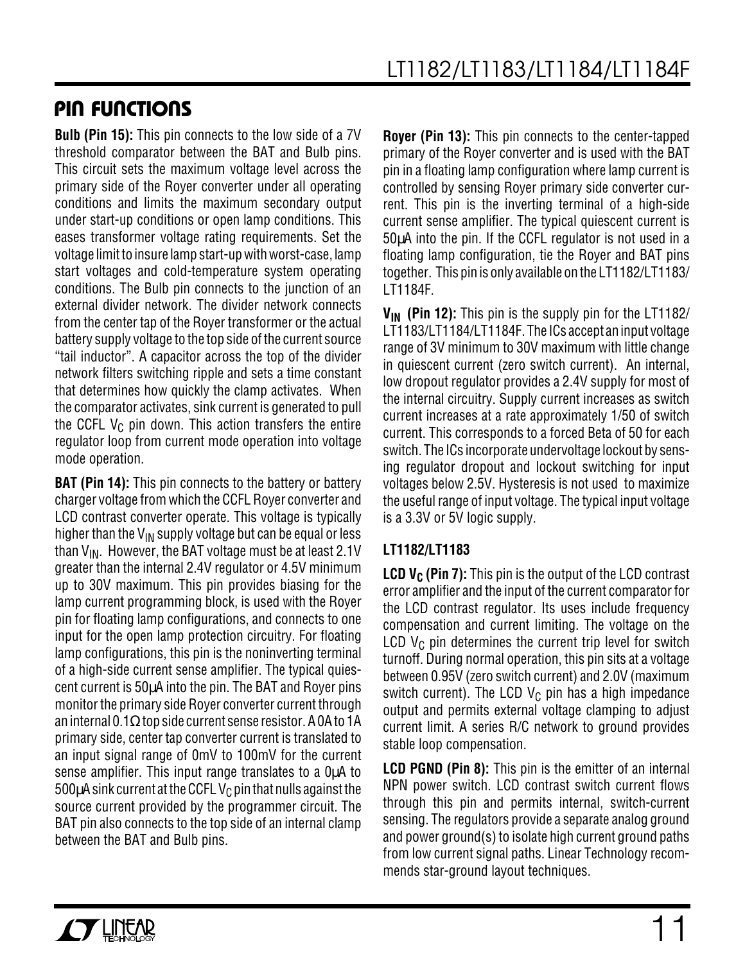### **PIN FUNCTIONS U UU**

**Bulb (Pin 15):** This pin connects to the low side of a 7V threshold comparator between the BAT and Bulb pins. This circuit sets the maximum voltage level across the primary side of the Royer converter under all operating conditions and limits the maximum secondary output under start-up conditions or open lamp conditions. This eases transformer voltage rating requirements. Set the voltage limit to insure lamp start-up with worst-case, lamp start voltages and cold-temperature system operating conditions. The Bulb pin connects to the junction of an external divider network. The divider network connects from the center tap of the Royer transformer or the actual battery supply voltage to the top side of the current source "tail inductor". A capacitor across the top of the divider network filters switching ripple and sets a time constant that determines how quickly the clamp activates. When the comparator activates, sink current is generated to pull the CCFL  $V_C$  pin down. This action transfers the entire regulator loop from current mode operation into voltage mode operation.

**BAT (Pin 14):** This pin connects to the battery or battery charger voltage from which the CCFL Royer converter and LCD contrast converter operate. This voltage is typically higher than the  $V_{IN}$  supply voltage but can be equal or less than  $V_{IN}$ . However, the BAT voltage must be at least 2.1V greater than the internal 2.4V regulator or 4.5V minimum up to 30V maximum. This pin provides biasing for the lamp current programming block, is used with the Royer pin for floating lamp configurations, and connects to one input for the open lamp protection circuitry. For floating lamp configurations, this pin is the noninverting terminal of a high-side current sense amplifier. The typical quiescent current is 50µA into the pin. The BAT and Royer pins monitor the primary side Royer converter current through an internal 0.1 $\Omega$  top side current sense resistor. A 0A to 1A primary side, center tap converter current is translated to an input signal range of 0mV to 100mV for the current sense amplifier. This input range translates to a 0µA to 500 $\mu$ A sink current at the CCFL V<sub>C</sub> pin that nulls against the source current provided by the programmer circuit. The BAT pin also connects to the top side of an internal clamp between the BAT and Bulb pins.

**Royer (Pin 13):** This pin connects to the center-tapped primary of the Royer converter and is used with the BAT pin in a floating lamp configuration where lamp current is controlled by sensing Royer primary side converter current. This pin is the inverting terminal of a high-side current sense amplifier. The typical quiescent current is 50µA into the pin. If the CCFL regulator is not used in a floating lamp configuration, tie the Royer and BAT pins together. This pin is only available on the LT1182/LT1183/ LT1184F.

**V<sub>IN</sub>** (Pin 12): This pin is the supply pin for the LT1182/ LT1183/LT1184/LT1184F. The ICs accept an input voltage range of 3V minimum to 30V maximum with little change in quiescent current (zero switch current). An internal, low dropout regulator provides a 2.4V supply for most of the internal circuitry. Supply current increases as switch current increases at a rate approximately 1/50 of switch current. This corresponds to a forced Beta of 50 for each switch. The ICs incorporate undervoltage lockout by sensing regulator dropout and lockout switching for input voltages below 2.5V. Hysteresis is not used to maximize the useful range of input voltage. The typical input voltage is a 3.3V or 5V logic supply.

#### **LT1182/LT1183**

**LCD V<sub>C</sub>** (Pin 7): This pin is the output of the LCD contrast error amplifier and the input of the current comparator for the LCD contrast regulator. Its uses include frequency compensation and current limiting. The voltage on the LCD  $V_C$  pin determines the current trip level for switch turnoff. During normal operation, this pin sits at a voltage between 0.95V (zero switch current) and 2.0V (maximum switch current). The LCD  $V_C$  pin has a high impedance output and permits external voltage clamping to adjust current limit. A series R/C network to ground provides stable loop compensation.

**LCD PGND (Pin 8):** This pin is the emitter of an internal NPN power switch. LCD contrast switch current flows through this pin and permits internal, switch-current sensing. The regulators provide a separate analog ground and power ground(s) to isolate high current ground paths from low current signal paths. Linear Technology recommends star-ground layout techniques.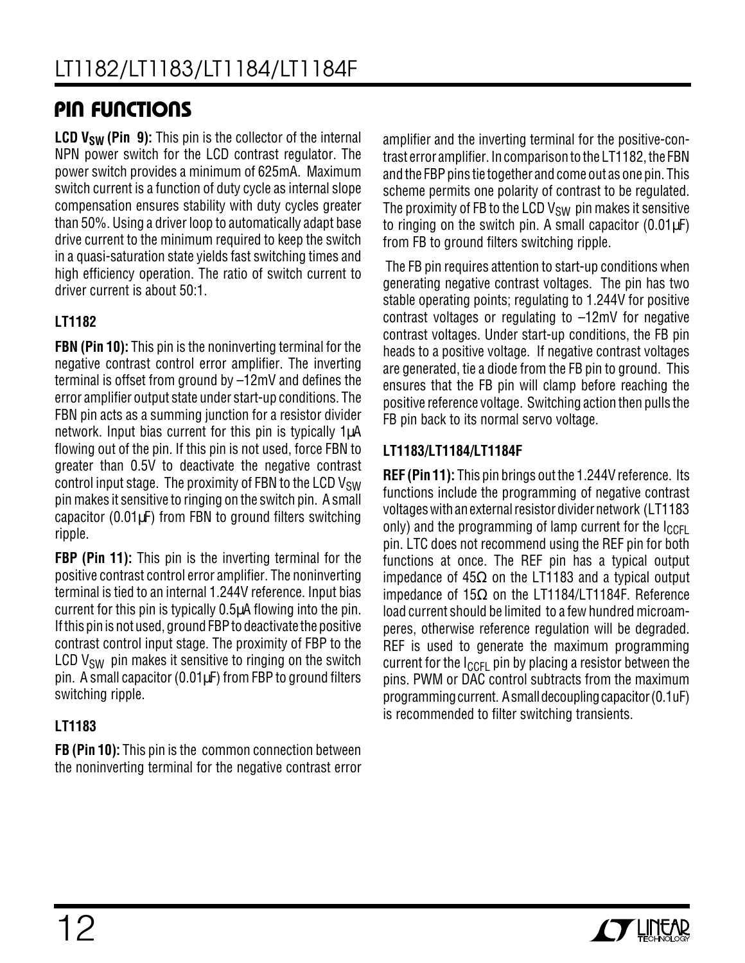## **PIN FUNCTIONS U UU**

**LCD V<sub>SW</sub>** (Pin 9): This pin is the collector of the internal NPN power switch for the LCD contrast regulator. The power switch provides a minimum of 625mA. Maximum switch current is a function of duty cycle as internal slope compensation ensures stability with duty cycles greater than 50%. Using a driver loop to automatically adapt base drive current to the minimum required to keep the switch in a quasi-saturation state yields fast switching times and high efficiency operation. The ratio of switch current to driver current is about 50:1.

#### **LT1182**

**FBN (Pin 10):** This pin is the noninverting terminal for the negative contrast control error amplifier. The inverting terminal is offset from ground by –12mV and defines the error amplifier output state under start-up conditions. The FBN pin acts as a summing junction for a resistor divider network. Input bias current for this pin is typically 1µA flowing out of the pin. If this pin is not used, force FBN to greater than 0.5V to deactivate the negative contrast control input stage. The proximity of FBN to the LCD  $V_{SW}$ pin makes it sensitive to ringing on the switch pin. A small capacitor (0.01µF) from FBN to ground filters switching ripple.

**FBP (Pin 11):** This pin is the inverting terminal for the positive contrast control error amplifier. The noninverting terminal is tied to an internal 1.244V reference. Input bias current for this pin is typically 0.5µA flowing into the pin. If this pin is not used, ground FBP to deactivate the positive contrast control input stage. The proximity of FBP to the LCD  $V_{SW}$  pin makes it sensitive to ringing on the switch pin. A small capacitor (0.01µF) from FBP to ground filters switching ripple.

#### **LT1183**

**FB (Pin 10):** This pin is the common connection between the noninverting terminal for the negative contrast error amplifier and the inverting terminal for the positive-contrast error amplifier. In comparison to the LT1182, the FBN and the FBP pins tie together and come out as one pin. This scheme permits one polarity of contrast to be regulated. The proximity of FB to the LCD  $V_{SW}$  pin makes it sensitive to ringing on the switch pin. A small capacitor  $(0.01 \mu F)$ from FB to ground filters switching ripple.

 The FB pin requires attention to start-up conditions when generating negative contrast voltages. The pin has two stable operating points; regulating to 1.244V for positive contrast voltages or regulating to –12mV for negative contrast voltages. Under start-up conditions, the FB pin heads to a positive voltage. If negative contrast voltages are generated, tie a diode from the FB pin to ground. This ensures that the FB pin will clamp before reaching the positive reference voltage. Switching action then pulls the FB pin back to its normal servo voltage.

#### **LT1183/LT1184/LT1184F**

**REF (Pin 11):** This pin brings out the 1.244V reference. Its functions include the programming of negative contrast voltages with an external resistor divider network (LT1183 only) and the programming of lamp current for the  $I_{CCFL}$ pin. LTC does not recommend using the REF pin for both functions at once. The REF pin has a typical output impedance of 45Ω on the LT1183 and a typical output impedance of 15Ω on the LT1184/LT1184F. Reference load current should be limited to a few hundred microamperes, otherwise reference regulation will be degraded. REF is used to generate the maximum programming current for the  $I_{CCFL}$  pin by placing a resistor between the pins. PWM or DAC control subtracts from the maximum programming current. A small decoupling capacitor (0.1uF) is recommended to filter switching transients.

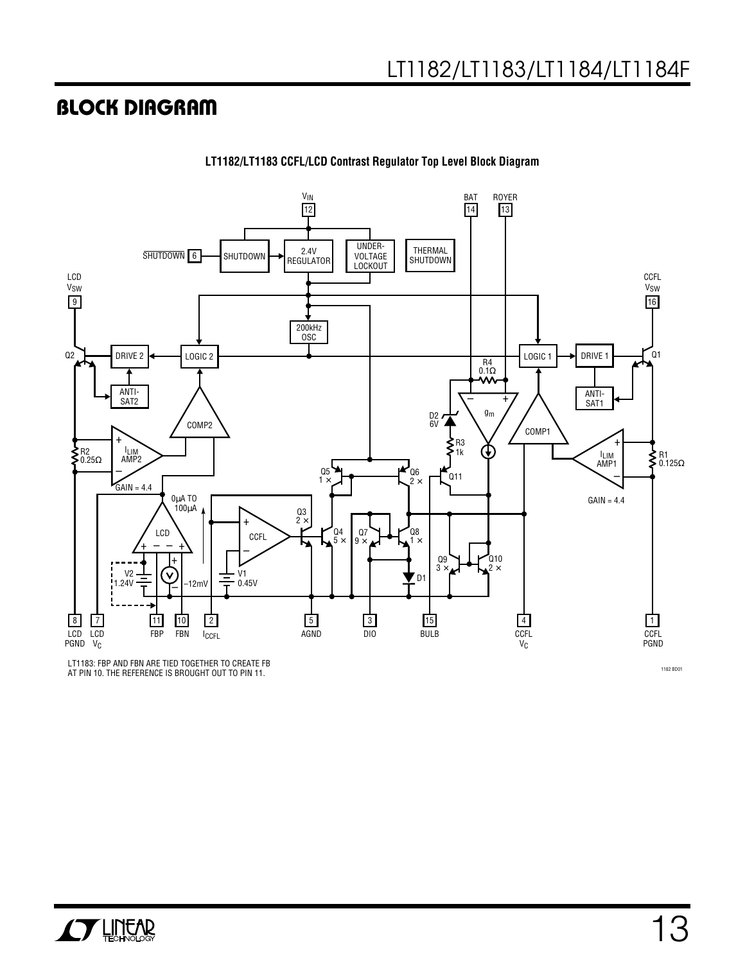### **BLOCK DIAGRAM**

 $V_{\text{IN}}$  BAT ROYER<br>
14 13 12 13 UNDER- 2.4V THERMAL VOLTAGE SHUTDOWN BEGULATOR SHUTDOWN 6 **SHUTDOWN** LOCKOUT LCD CCFL  $V_{SW}$ VSW 9 16 200kHz OSC DRIVE 2 LOGIC 2  $LOGIC 1$  DRIVE 1 Q2 Q1 R4<br>0.1Ω ANTI- ANTI- – + SAT<sub>2</sub> SAT1  $g_m$ D2 6V COMP2 COMP1 +  $\sum_{1k}^{R3}$ + ¢ I<sub>LIM</sub><br>AMP2 1k R2<br>0.25Ω I<sub>LIM</sub><br>AMP1 R1<br>0.125Ω – Q5 Q6 2 ×  $\alpha$ 11 –  $1 \times$  $GAIN = 4.4$ 0µA TO  $GAIN = 4.4$ 100µA Q3 2 × +  $Q7$ LCD  $Q4$  $Q8$ CCFL 5  $\overline{9}$  $1 \times$  $+ - - +$ – Q10 Q9 +  $2 \times$  $3 \times$ V2 <u>V</u> V1 D1 1.24V –12mV 0.45V –10 1 8 7 11 2 5 3 15 4 LCD FBN LCD PGND FBP ICCFL AGND DIO BULB CCFL CCFL PGND VC  $V_{C}$ 

**LT1182/LT1183 CCFL/LCD Contrast Regulator Top Level Block Diagram**

LT1183: FBP AND FBN ARE TIED TOGETHER TO CREATE FB AT PIN 10. THE REFERENCE IS BROUGHT OUT TO PIN 11.

1182 BD01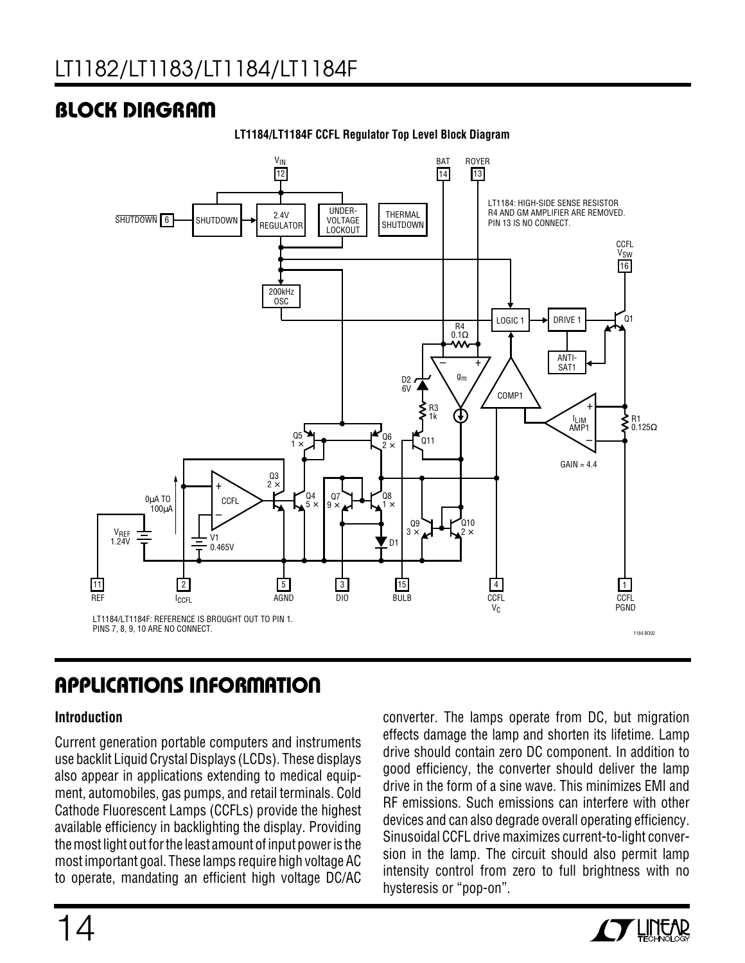## **BLOCK DIAGRAM**



**LT1184/LT1184F CCFL Regulator Top Level Block Diagram**

## **APPLICATIONS INFORMATION U W U U**

#### **Introduction**

Current generation portable computers and instruments use backlit Liquid Crystal Displays (LCDs). These displays also appear in applications extending to medical equipment, automobiles, gas pumps, and retail terminals. Cold Cathode Fluorescent Lamps (CCFLs) provide the highest available efficiency in backlighting the display. Providing the most light out for the least amount of input power is the most important goal. These lamps require high voltage AC to operate, mandating an efficient high voltage DC/AC

converter. The lamps operate from DC, but migration effects damage the lamp and shorten its lifetime. Lamp drive should contain zero DC component. In addition to good efficiency, the converter should deliver the lamp drive in the form of a sine wave. This minimizes EMI and RF emissions. Such emissions can interfere with other devices and can also degrade overall operating efficiency. Sinusoidal CCFL drive maximizes current-to-light conversion in the lamp. The circuit should also permit lamp intensity control from zero to full brightness with no hysteresis or "pop-on".

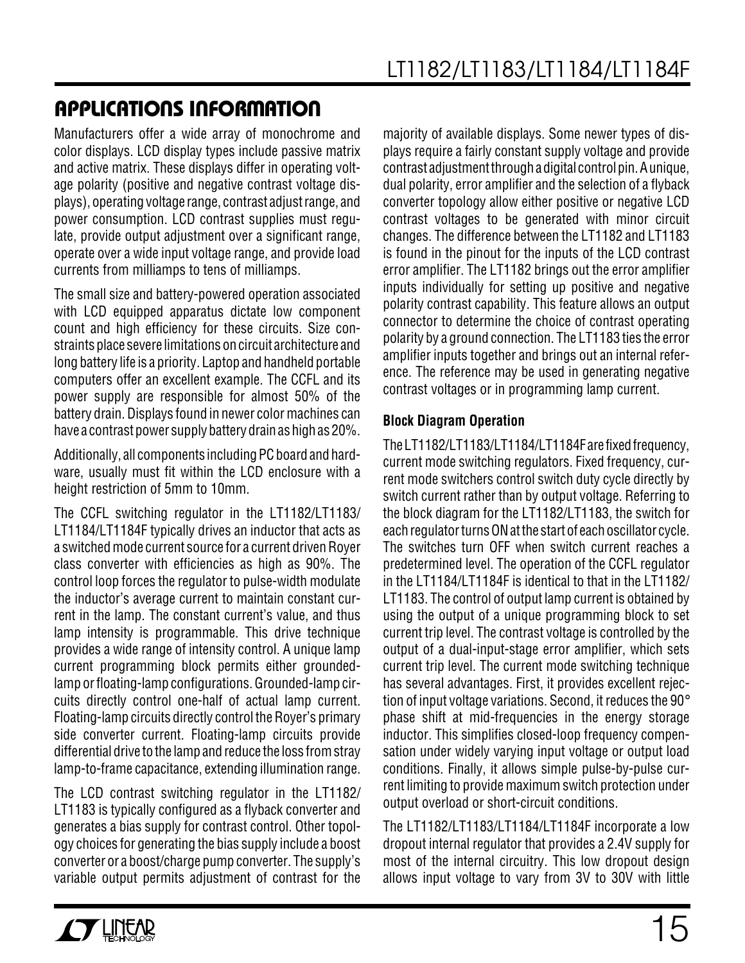Manufacturers offer a wide array of monochrome and color displays. LCD display types include passive matrix and active matrix. These displays differ in operating voltage polarity (positive and negative contrast voltage displays), operating voltage range, contrast adjust range, and power consumption. LCD contrast supplies must regulate, provide output adjustment over a significant range, operate over a wide input voltage range, and provide load currents from milliamps to tens of milliamps.

The small size and battery-powered operation associated with LCD equipped apparatus dictate low component count and high efficiency for these circuits. Size constraints place severe limitations on circuit architecture and long battery life is a priority. Laptop and handheld portable computers offer an excellent example. The CCFL and its power supply are responsible for almost 50% of the battery drain. Displays found in newer color machines can have a contrast power supply battery drain as high as 20%.

Additionally, all components including PC board and hardware, usually must fit within the LCD enclosure with a height restriction of 5mm to 10mm.

The CCFL switching regulator in the LT1182/LT1183/ LT1184/LT1184F typically drives an inductor that acts as a switched mode current source for a current driven Royer class converter with efficiencies as high as 90%. The control loop forces the regulator to pulse-width modulate the inductor's average current to maintain constant current in the lamp. The constant current's value, and thus lamp intensity is programmable. This drive technique provides a wide range of intensity control. A unique lamp current programming block permits either groundedlamp or floating-lamp configurations. Grounded-lamp circuits directly control one-half of actual lamp current. Floating-lamp circuits directly control the Royer's primary side converter current. Floating-lamp circuits provide differential drive to the lamp and reduce the loss from stray lamp-to-frame capacitance, extending illumination range.

The LCD contrast switching regulator in the LT1182/ LT1183 is typically configured as a flyback converter and generates a bias supply for contrast control. Other topology choices for generating the bias supply include a boost converter or a boost/charge pump converter. The supply's variable output permits adjustment of contrast for the majority of available displays. Some newer types of displays require a fairly constant supply voltage and provide contrast adjustment through a digital control pin. A unique, dual polarity, error amplifier and the selection of a flyback converter topology allow either positive or negative LCD contrast voltages to be generated with minor circuit changes. The difference between the LT1182 and LT1183 is found in the pinout for the inputs of the LCD contrast error amplifier. The LT1182 brings out the error amplifier inputs individually for setting up positive and negative polarity contrast capability. This feature allows an output connector to determine the choice of contrast operating polarity by a ground connection. The LT1183 ties the error amplifier inputs together and brings out an internal reference. The reference may be used in generating negative contrast voltages or in programming lamp current.

#### **Block Diagram Operation**

The LT1182/LT1183/LT1184/LT1184F are fixed frequency, current mode switching regulators. Fixed frequency, current mode switchers control switch duty cycle directly by switch current rather than by output voltage. Referring to the block diagram for the LT1182/LT1183, the switch for each regulator turns ON at the start of each oscillator cycle. The switches turn OFF when switch current reaches a predetermined level. The operation of the CCFL regulator in the LT1184/LT1184F is identical to that in the LT1182/ LT1183. The control of output lamp current is obtained by using the output of a unique programming block to set current trip level. The contrast voltage is controlled by the output of a dual-input-stage error amplifier, which sets current trip level. The current mode switching technique has several advantages. First, it provides excellent rejection of input voltage variations. Second, it reduces the 90° phase shift at mid-frequencies in the energy storage inductor. This simplifies closed-loop frequency compensation under widely varying input voltage or output load conditions. Finally, it allows simple pulse-by-pulse current limiting to provide maximum switch protection under output overload or short-circuit conditions.

The LT1182/LT1183/LT1184/LT1184F incorporate a low dropout internal regulator that provides a 2.4V supply for most of the internal circuitry. This low dropout design allows input voltage to vary from 3V to 30V with little

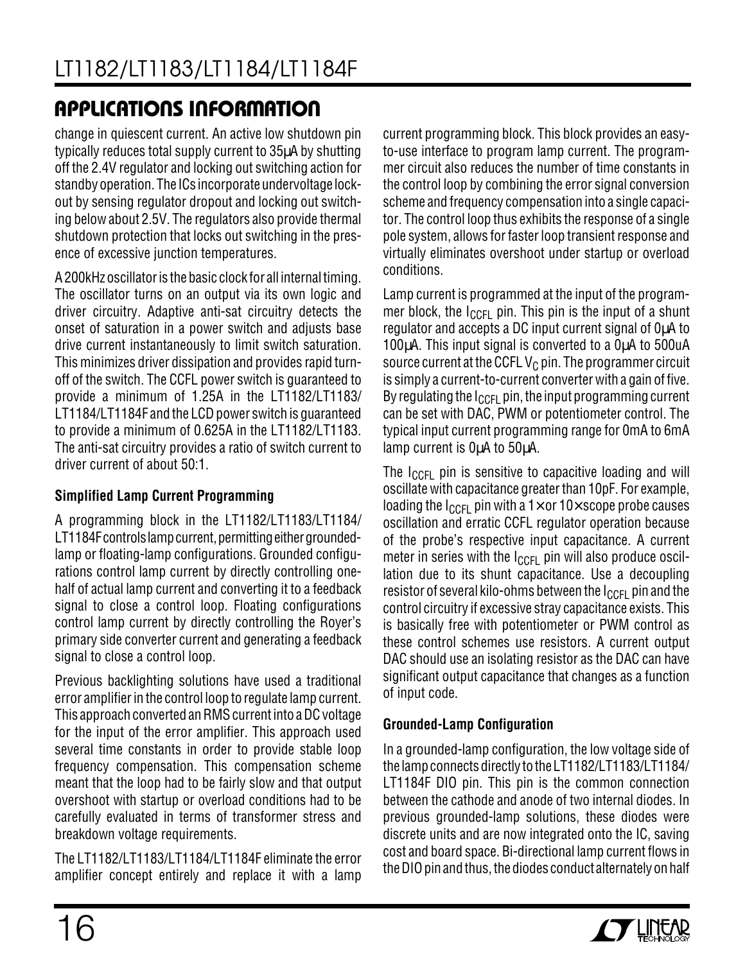change in quiescent current. An active low shutdown pin typically reduces total supply current to 35µA by shutting off the 2.4V regulator and locking out switching action for standby operation. The ICs incorporate undervoltage lockout by sensing regulator dropout and locking out switching below about 2.5V. The regulators also provide thermal shutdown protection that locks out switching in the presence of excessive junction temperatures.

A 200kHz oscillator is the basic clock for all internal timing. The oscillator turns on an output via its own logic and driver circuitry. Adaptive anti-sat circuitry detects the onset of saturation in a power switch and adjusts base drive current instantaneously to limit switch saturation. This minimizes driver dissipation and provides rapid turnoff of the switch. The CCFL power switch is guaranteed to provide a minimum of 1.25A in the LT1182/LT1183/ LT1184/LT1184F and the LCD power switch is guaranteed to provide a minimum of 0.625A in the LT1182/LT1183. The anti-sat circuitry provides a ratio of switch current to driver current of about 50:1.

#### **Simplified Lamp Current Programming**

A programming block in the LT1182/LT1183/LT1184/ LT1184F controls lamp current, permitting either groundedlamp or floating-lamp configurations. Grounded configurations control lamp current by directly controlling onehalf of actual lamp current and converting it to a feedback signal to close a control loop. Floating configurations control lamp current by directly controlling the Royer's primary side converter current and generating a feedback signal to close a control loop.

Previous backlighting solutions have used a traditional error amplifier in the control loop to regulate lamp current. This approach converted an RMS current into a DC voltage for the input of the error amplifier. This approach used several time constants in order to provide stable loop frequency compensation. This compensation scheme meant that the loop had to be fairly slow and that output overshoot with startup or overload conditions had to be carefully evaluated in terms of transformer stress and breakdown voltage requirements.

The LT1182/LT1183/LT1184/LT1184F eliminate the error amplifier concept entirely and replace it with a lamp current programming block. This block provides an easyto-use interface to program lamp current. The programmer circuit also reduces the number of time constants in the control loop by combining the error signal conversion scheme and frequency compensation into a single capacitor. The control loop thus exhibits the response of a single pole system, allows for faster loop transient response and virtually eliminates overshoot under startup or overload conditions.

Lamp current is programmed at the input of the programmer block, the  $I_{CCE}$  pin. This pin is the input of a shunt regulator and accepts a DC input current signal of 0µA to 100µA. This input signal is converted to a 0µA to 500uA source current at the CCFL  $V_C$  pin. The programmer circuit is simply a current-to-current converter with a gain of five. By regulating the  $I_{CCE}$  pin, the input programming current can be set with DAC, PWM or potentiometer control. The typical input current programming range for 0mA to 6mA lamp current is 0µA to 50µA.

The  $I_{CCFI}$  pin is sensitive to capacitive loading and will oscillate with capacitance greater than 10pF. For example, loading the  $I_{CCE}$  pin with a 1× or 10× scope probe causes oscillation and erratic CCFL regulator operation because of the probe's respective input capacitance. A current meter in series with the  $I_{CCF}$  pin will also produce oscillation due to its shunt capacitance. Use a decoupling resistor of several kilo-ohms between the  $I_{CCF}$  pin and the control circuitry if excessive stray capacitance exists. This is basically free with potentiometer or PWM control as these control schemes use resistors. A current output DAC should use an isolating resistor as the DAC can have significant output capacitance that changes as a function of input code.

#### **Grounded-Lamp Configuration**

In a grounded-lamp configuration, the low voltage side of the lamp connects directly to the LT1182/LT1183/LT1184/ LT1184F DIO pin. This pin is the common connection between the cathode and anode of two internal diodes. In previous grounded-lamp solutions, these diodes were discrete units and are now integrated onto the IC, saving cost and board space. Bi-directional lamp current flows in the DIO pin and thus, the diodes conduct alternately on half

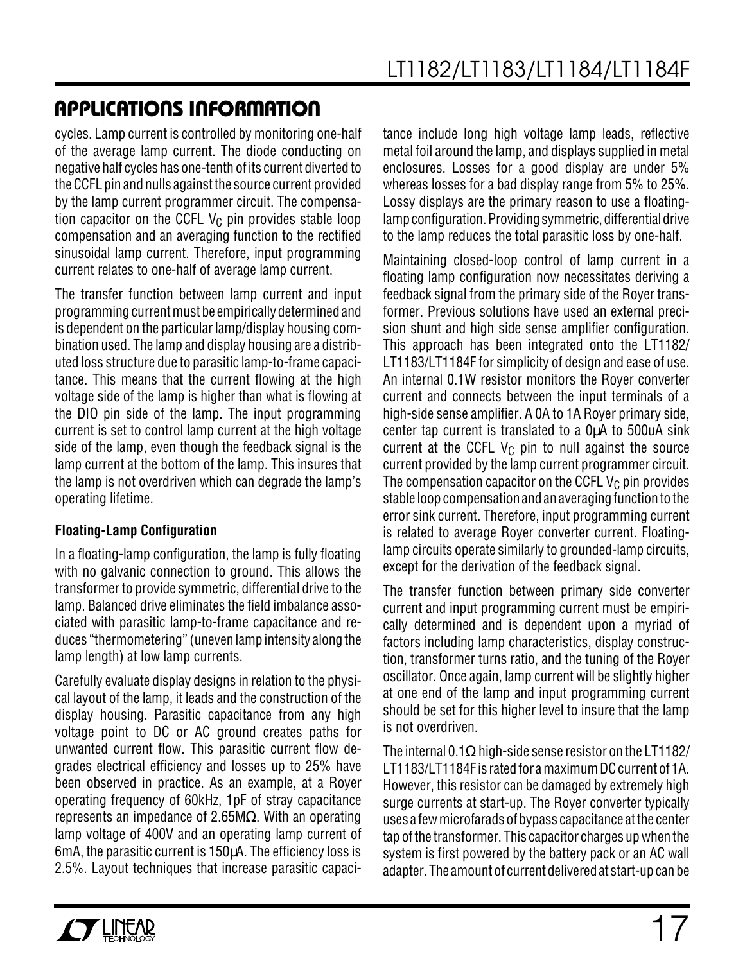cycles. Lamp current is controlled by monitoring one-half of the average lamp current. The diode conducting on negative half cycles has one-tenth of its current diverted to the CCFL pin and nulls against the source current provided by the lamp current programmer circuit. The compensation capacitor on the CCFL  $V_C$  pin provides stable loop compensation and an averaging function to the rectified sinusoidal lamp current. Therefore, input programming current relates to one-half of average lamp current.

The transfer function between lamp current and input programming current must be empirically determined and is dependent on the particular lamp/display housing combination used. The lamp and display housing are a distributed loss structure due to parasitic lamp-to-frame capacitance. This means that the current flowing at the high voltage side of the lamp is higher than what is flowing at the DIO pin side of the lamp. The input programming current is set to control lamp current at the high voltage side of the lamp, even though the feedback signal is the lamp current at the bottom of the lamp. This insures that the lamp is not overdriven which can degrade the lamp's operating lifetime.

#### **Floating-Lamp Configuration**

In a floating-lamp configuration, the lamp is fully floating with no galvanic connection to ground. This allows the transformer to provide symmetric, differential drive to the lamp. Balanced drive eliminates the field imbalance associated with parasitic lamp-to-frame capacitance and reduces "thermometering" (uneven lamp intensity along the lamp length) at low lamp currents.

Carefully evaluate display designs in relation to the physical layout of the lamp, it leads and the construction of the display housing. Parasitic capacitance from any high voltage point to DC or AC ground creates paths for unwanted current flow. This parasitic current flow degrades electrical efficiency and losses up to 25% have been observed in practice. As an example, at a Royer operating frequency of 60kHz, 1pF of stray capacitance represents an impedance of 2.65MΩ. With an operating lamp voltage of 400V and an operating lamp current of 6mA, the parasitic current is 150µA. The efficiency loss is 2.5%. Layout techniques that increase parasitic capacitance include long high voltage lamp leads, reflective metal foil around the lamp, and displays supplied in metal enclosures. Losses for a good display are under 5% whereas losses for a bad display range from 5% to 25%. Lossy displays are the primary reason to use a floatinglamp configuration. Providing symmetric, differential drive to the lamp reduces the total parasitic loss by one-half.

Maintaining closed-loop control of lamp current in a floating lamp configuration now necessitates deriving a feedback signal from the primary side of the Royer transformer. Previous solutions have used an external precision shunt and high side sense amplifier configuration. This approach has been integrated onto the LT1182/ LT1183/LT1184F for simplicity of design and ease of use. An internal 0.1W resistor monitors the Royer converter current and connects between the input terminals of a high-side sense amplifier. A 0A to 1A Royer primary side, center tap current is translated to a 0µA to 500uA sink current at the CCFL  $V_C$  pin to null against the source current provided by the lamp current programmer circuit. The compensation capacitor on the CCFL  $V_C$  pin provides stable loop compensation and an averaging function to the error sink current. Therefore, input programming current is related to average Royer converter current. Floatinglamp circuits operate similarly to grounded-lamp circuits, except for the derivation of the feedback signal.

The transfer function between primary side converter current and input programming current must be empirically determined and is dependent upon a myriad of factors including lamp characteristics, display construction, transformer turns ratio, and the tuning of the Royer oscillator. Once again, lamp current will be slightly higher at one end of the lamp and input programming current should be set for this higher level to insure that the lamp is not overdriven.

The internal 0.1 $\Omega$  high-side sense resistor on the LT1182/ LT1183/LT1184F is rated for a maximum DC current of 1A. However, this resistor can be damaged by extremely high surge currents at start-up. The Royer converter typically uses a few microfarads of bypass capacitance at the center tap of the transformer. This capacitor charges up when the system is first powered by the battery pack or an AC wall adapter. The amount of current delivered at start-up can be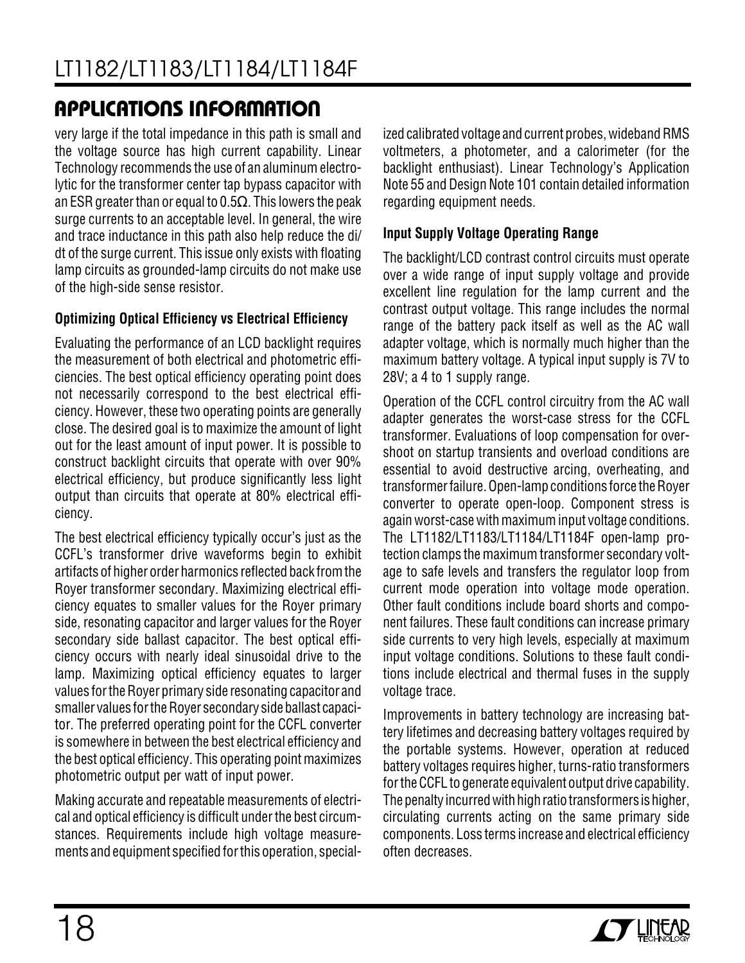very large if the total impedance in this path is small and the voltage source has high current capability. Linear Technology recommends the use of an aluminum electrolytic for the transformer center tap bypass capacitor with an ESR greater than or equal to 0.5 $\Omega$ . This lowers the peak surge currents to an acceptable level. In general, the wire and trace inductance in this path also help reduce the di/ dt of the surge current. This issue only exists with floating lamp circuits as grounded-lamp circuits do not make use of the high-side sense resistor.

#### **Optimizing Optical Efficiency vs Electrical Efficiency**

Evaluating the performance of an LCD backlight requires the measurement of both electrical and photometric efficiencies. The best optical efficiency operating point does not necessarily correspond to the best electrical efficiency. However, these two operating points are generally close. The desired goal is to maximize the amount of light out for the least amount of input power. It is possible to construct backlight circuits that operate with over 90% electrical efficiency, but produce significantly less light output than circuits that operate at 80% electrical efficiency.

The best electrical efficiency typically occur's just as the CCFL's transformer drive waveforms begin to exhibit artifacts of higher order harmonics reflected back from the Royer transformer secondary. Maximizing electrical efficiency equates to smaller values for the Royer primary side, resonating capacitor and larger values for the Royer secondary side ballast capacitor. The best optical efficiency occurs with nearly ideal sinusoidal drive to the lamp. Maximizing optical efficiency equates to larger values for the Royer primary side resonating capacitor and smaller values for the Royer secondary side ballast capacitor. The preferred operating point for the CCFL converter is somewhere in between the best electrical efficiency and the best optical efficiency. This operating point maximizes photometric output per watt of input power.

Making accurate and repeatable measurements of electrical and optical efficiency is difficult under the best circumstances. Requirements include high voltage measurements and equipment specified for this operation, specialized calibrated voltage and current probes, wideband RMS voltmeters, a photometer, and a calorimeter (for the backlight enthusiast). Linear Technology's Application Note 55 and Design Note 101 contain detailed information regarding equipment needs.

#### **Input Supply Voltage Operating Range**

The backlight/LCD contrast control circuits must operate over a wide range of input supply voltage and provide excellent line regulation for the lamp current and the contrast output voltage. This range includes the normal range of the battery pack itself as well as the AC wall adapter voltage, which is normally much higher than the maximum battery voltage. A typical input supply is 7V to 28V; a 4 to 1 supply range.

Operation of the CCFL control circuitry from the AC wall adapter generates the worst-case stress for the CCFL transformer. Evaluations of loop compensation for overshoot on startup transients and overload conditions are essential to avoid destructive arcing, overheating, and transformer failure. Open-lamp conditions force the Royer converter to operate open-loop. Component stress is again worst-case with maximum input voltage conditions. The LT1182/LT1183/LT1184/LT1184F open-lamp protection clamps the maximum transformer secondary voltage to safe levels and transfers the regulator loop from current mode operation into voltage mode operation. Other fault conditions include board shorts and component failures. These fault conditions can increase primary side currents to very high levels, especially at maximum input voltage conditions. Solutions to these fault conditions include electrical and thermal fuses in the supply voltage trace.

Improvements in battery technology are increasing battery lifetimes and decreasing battery voltages required by the portable systems. However, operation at reduced battery voltages requires higher, turns-ratio transformers for the CCFL to generate equivalent output drive capability. The penalty incurred with high ratio transformers is higher, circulating currents acting on the same primary side components. Loss terms increase and electrical efficiency often decreases.

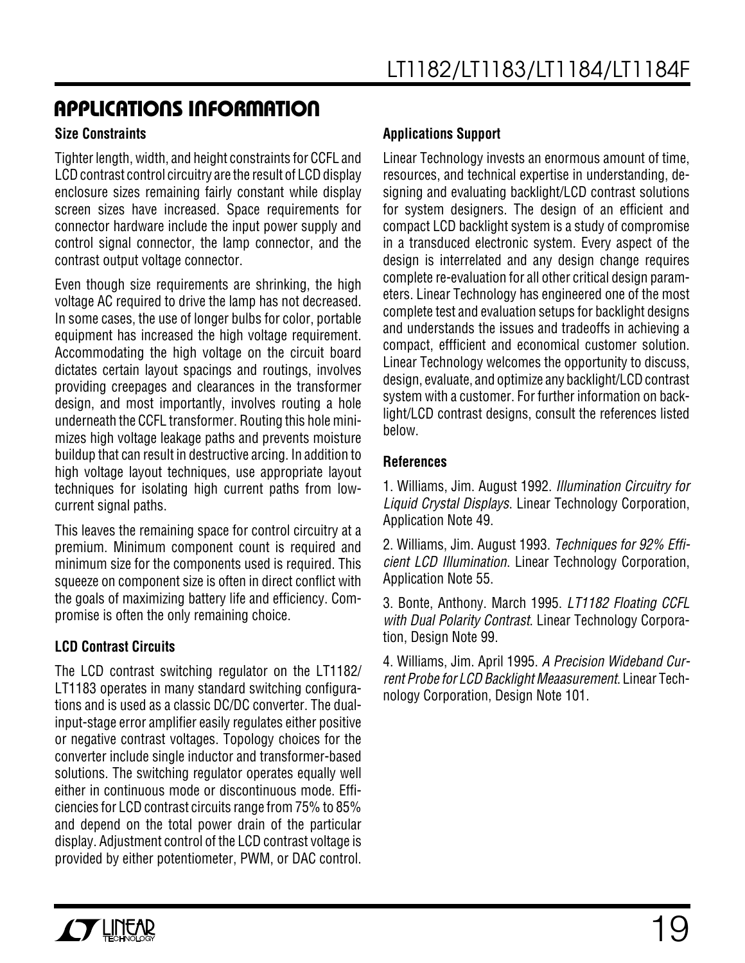#### **Size Constraints**

Tighter length, width, and height constraints for CCFL and LCD contrast control circuitry are the result of LCD display enclosure sizes remaining fairly constant while display screen sizes have increased. Space requirements for connector hardware include the input power supply and control signal connector, the lamp connector, and the contrast output voltage connector.

Even though size requirements are shrinking, the high voltage AC required to drive the lamp has not decreased. In some cases, the use of longer bulbs for color, portable equipment has increased the high voltage requirement. Accommodating the high voltage on the circuit board dictates certain layout spacings and routings, involves providing creepages and clearances in the transformer design, and most importantly, involves routing a hole underneath the CCFL transformer. Routing this hole minimizes high voltage leakage paths and prevents moisture buildup that can result in destructive arcing. In addition to high voltage layout techniques, use appropriate layout techniques for isolating high current paths from lowcurrent signal paths.

This leaves the remaining space for control circuitry at a premium. Minimum component count is required and minimum size for the components used is required. This squeeze on component size is often in direct conflict with the goals of maximizing battery life and efficiency. Compromise is often the only remaining choice.

#### **LCD Contrast Circuits**

The LCD contrast switching regulator on the LT1182/ LT1183 operates in many standard switching configurations and is used as a classic DC/DC converter. The dualinput-stage error amplifier easily regulates either positive or negative contrast voltages. Topology choices for the converter include single inductor and transformer-based solutions. The switching regulator operates equally well either in continuous mode or discontinuous mode. Efficiencies for LCD contrast circuits range from 75% to 85% and depend on the total power drain of the particular display. Adjustment control of the LCD contrast voltage is provided by either potentiometer, PWM, or DAC control.

#### **Applications Support**

Linear Technology invests an enormous amount of time, resources, and technical expertise in understanding, designing and evaluating backlight/LCD contrast solutions for system designers. The design of an efficient and compact LCD backlight system is a study of compromise in a transduced electronic system. Every aspect of the design is interrelated and any design change requires complete re-evaluation for all other critical design parameters. Linear Technology has engineered one of the most complete test and evaluation setups for backlight designs and understands the issues and tradeoffs in achieving a compact, effficient and economical customer solution. Linear Technology welcomes the opportunity to discuss, design, evaluate, and optimize any backlight/LCD contrast system with a customer. For further information on backlight/LCD contrast designs, consult the references listed below.

#### **References**

1. Williams, Jim. August 1992. Illumination Circuitry for Liquid Crystal Displays. Linear Technology Corporation, Application Note 49.

2. Williams, Jim. August 1993. Techniques for 92% Efficient LCD Illumination. Linear Technology Corporation, Application Note 55.

3. Bonte, Anthony. March 1995. LT1182 Floating CCFL with Dual Polarity Contrast. Linear Technology Corporation, Design Note 99.

4. Williams, Jim. April 1995. A Precision Wideband Current Probe for LCD Backlight Meaasurement. Linear Technology Corporation, Design Note 101.

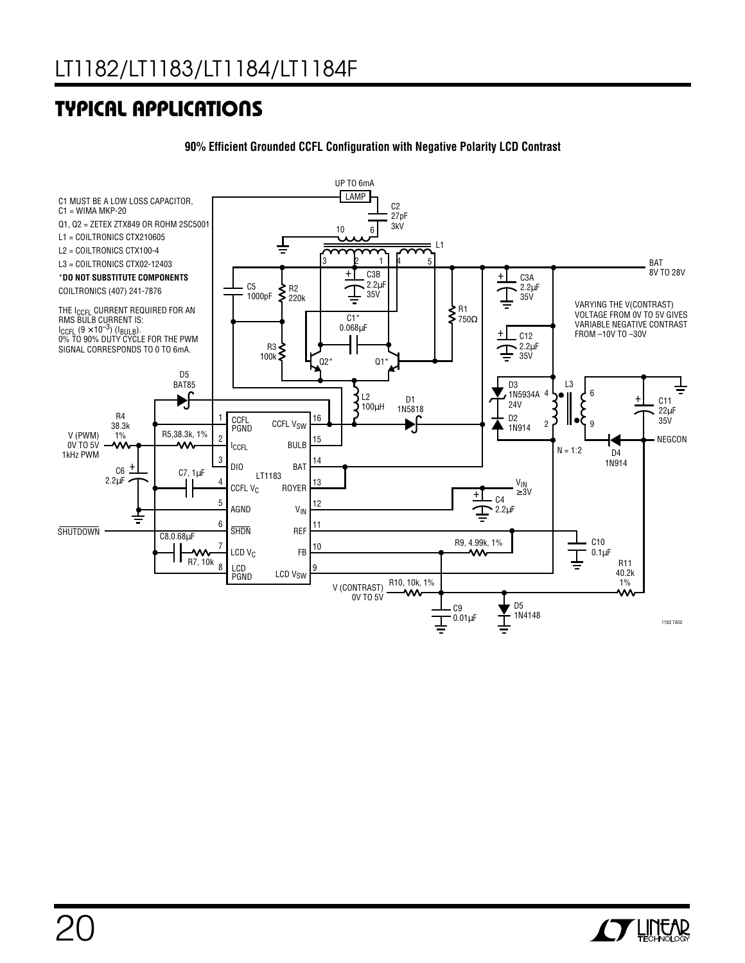

**90% Efficient Grounded CCFL Configuration with Negative Polarity LCD Contrast**

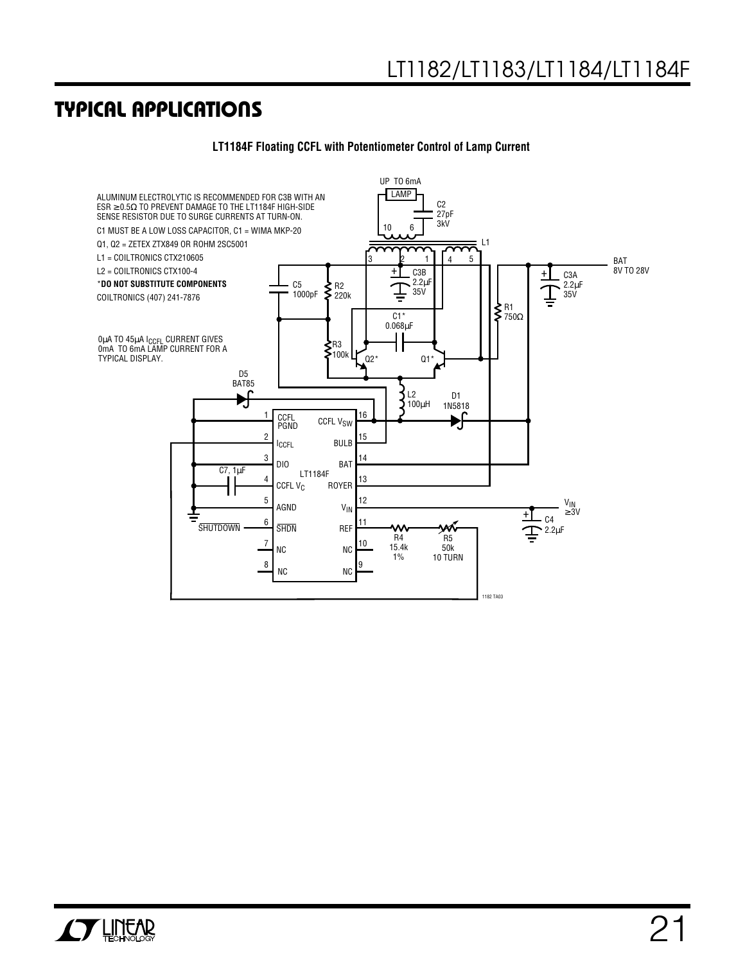**LT1184F Floating CCFL with Potentiometer Control of Lamp Current**

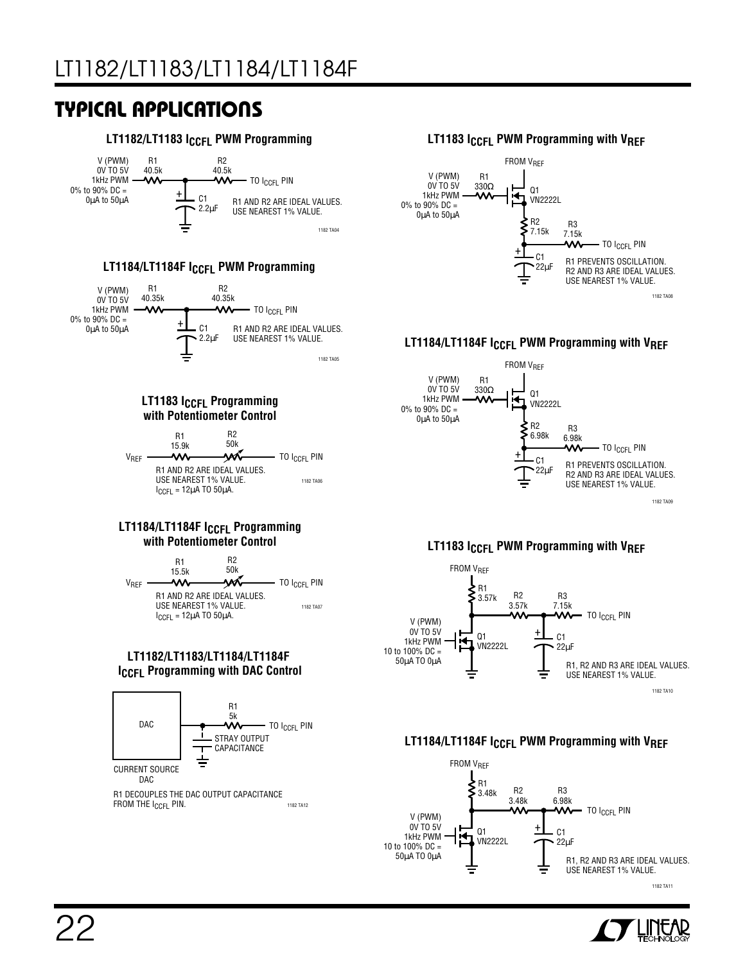

#### **LT1184/LT1184F ICCFL PWM Programming**



#### **LT1183 ICCFL Programming with Potentiometer Control**

| VRFF | R1<br>15.9k<br>ᄴ                                                | R2<br>50 <sub>k</sub>       | TO I <sub>CCFI</sub> PIN |
|------|-----------------------------------------------------------------|-----------------------------|--------------------------|
|      | USE NEAREST 1% VALUE.<br>$I_{CCEL}$ = 12 $\mu$ A TO 50 $\mu$ A. | R1 AND R2 ARE IDEAL VALUES. | 1182 TA06                |

#### **LT1184/LT1184F ICCFL Programming with Potentiometer Control**



#### **LT1182/LT1183/LT1184/LT1184F ICCFL Programming with DAC Control**



1182 TA12 R1 DECOUPLES THE DAC OUTPUT CAPACITANCE FROM THE I<sub>CCFL</sub> PIN.

#### LT1182/LT1183 I<sub>CCFL</sub> PWM Programming **LT1183 ICCFL PWM Programming with V<sub>REF</sub>**



#### **LT1184/LT1184F ICCFL PWM Programming with VREF**



#### **LT1183 ICCFL PWM Programming with VREF**



#### **LT1184/LT1184F ICCFL PWM Programming with VREF**



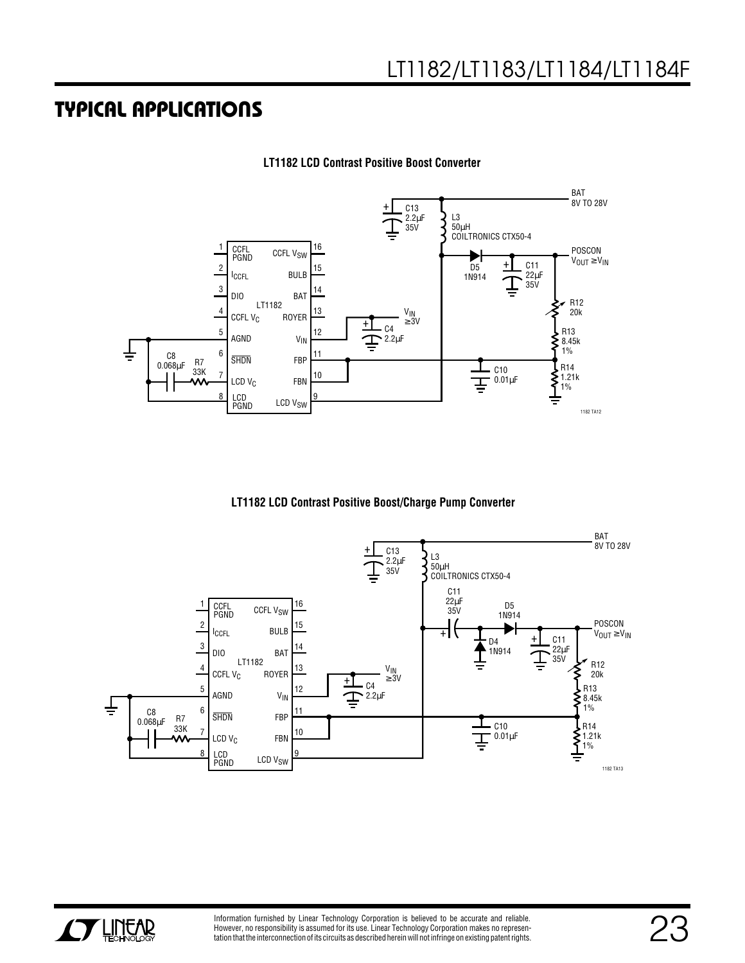**LT1182 LCD Contrast Positive Boost Converter**



**LT1182 LCD Contrast Positive Boost/Charge Pump Converter**